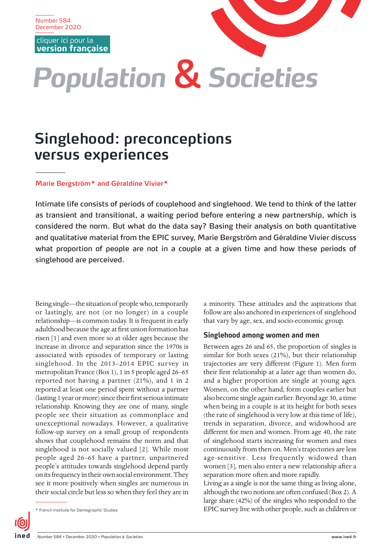Number 584 December 2020

cliquer ici pour la **[version française](https://www.ined.fr/fr/publications/editions/population-et-societes/vivre-celibataire-des-idees-recues-aux-experiences-vecues/)**

# *Population* & *Societies*

# **Singlehood: preconceptions versus experiences**

#### **Marie Bergström\* and Géraldine Vivier\***

Intimate life consists of periods of couplehood and singlehood. We tend to think of the latter as transient and transitional, a waiting period before entering a new partnership, which is considered the norm. But what do the data say? Basing their analysis on both quantitative and qualitative material from the EPIC survey, Marie Bergström and Géraldine Vivier discuss what proportion of people are not in a couple at a given time and how these periods of singlehood are perceived.

Being single—the situation of people who, temporarily or lastingly, are not (or no longer) in a couple relationship—is common today. It is frequent in early adulthood because the age at first union formation has risen [1] and even more so at older ages because the increase in divorce and separation since the 1970s is associated with episodes of temporary or lasting singlehood. In the 2013–2014 EPIC survey in metropolitan France (Box 1), 1 in 5 people aged 26–65 reported not having a partner (21%), and 1 in 2 reported at least one period spent without a partner (lasting 1 year or more) since their first serious intimate relationship. Knowing they are one of many, single people see their situation as commonplace and unexceptional nowadays. However, a qualitative follow-up survey on a small group of respondents shows that couplehood remains the norm and that singlehood is not socially valued [2]. While most people aged 26–65 have a partner, unpartnered people's attitudes towards singlehood depend partly on its frequency in their own social environment. They see it more positively when singles are numerous in their social circle but less so when they feel they are in

a minority. These attitudes and the aspirations that follow are also anchored in experiences of singlehood that vary by age, sex, and socio-economic group.

#### **Singlehood among women and men**

Between ages 26 and 65, the proportion of singles is similar for both sexes (21%), but their relationship trajectories are very different (Figure 1). Men form their first relationship at a later age than women do, and a higher proportion are single at young ages. Women, on the other hand, form couples earlier but also become single again earlier. Beyond age 30, a time when being in a couple is at its height for both sexes (the rate of singlehood is very low at this time of life), trends in separation, divorce, and widowhood are different for men and women. From age 40, the rate of singlehood starts increasing for women and rises continuously from then on. Men's trajectories are less age-sensitive. Less frequently widowed than women [3], men also enter a new relationship after a separation more often and more rapidly.

Living as a single is not the same thing as living alone, although the two notions are often confused (Box 2). A large share (42%) of the singles who responded to the \* French Institute for Demographic Studies EPIC survey live with other people, such as children or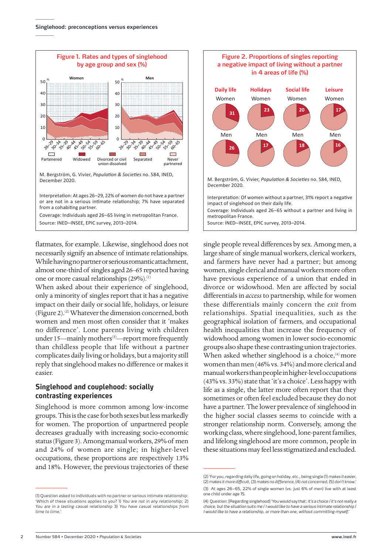

flatmates, for example. Likewise, singlehood does not necessarily signify an absence of intimate relationships. While having no partner or serious romantic attachment, almost one-third of singles aged 26–65 reported having one or more casual relationships (29%).<sup>(1)</sup>

When asked about their experience of singlehood, only a minority of singles report that it has a negative impact on their daily or social life, holidays, or leisure (Figure 2).<sup>(2)</sup> Whatever the dimension concerned, both women and men most often consider that it 'makes no difference'. Lone parents living with children under 15—mainly mothers<sup>(3)</sup>—report more frequently than childless people that life without a partner complicates daily living or holidays, but a majority still reply that singlehood makes no difference or makes it easier.

### **Singlehood and couplehood: socially contrasting experiences**

Singlehood is more common among low-income groups. This is the case for both sexes but less markedly for women. The proportion of unpartnered people decreases gradually with increasing socio-economic status (Figure 3). Among manual workers, 29% of men and 24% of women are single; in higher-level occupations, these proportions are respectively 13% and 18%. However, the previous trajectories of these



single people reveal differences by sex. Among men, a large share of single manual workers, clerical workers, and farmers have never had a partner; but among women, single clerical and manual workers more often have previous experience of a union that ended in divorce or widowhood. Men are affected by social differentials in *access* to partnership, while for women these differentials mainly concern the *exit* from relationships. Spatial inequalities, such as the geographical isolation of farmers, and occupational health inequalities that increase the frequency of widowhood among women in lower socio-economic groups also shape these contrasting union trajectories. When asked whether singlehood is a choice,<sup>(4)</sup> more women than men (46% vs. 34%) and more clerical and manual workers than people in higher-level occupations (43% vs. 33%) state that 'it's a choice'. Less happy with life as a single, the latter more often report that they sometimes or often feel excluded because they do not have a partner. The lower prevalence of singlehood in the higher social classes seems to coincide with a stronger relationship norm. Conversely, among the working class, where singlehood, lone-parent families, and lifelong singlehood are more common, people in these situations may feel less stigmatized and excluded.

<sup>(1)</sup> Question asked to individuals with no partner or serious intimate relationship: 'Which of these situations applies to you? 1) *You are not in any relationship*; 2) *You are in a lasting casual relationship* 3) *You have casual relationships from time to time*.'

<sup>(2) &#</sup>x27;For you, regarding daily life, going on holiday, etc., being single (1) *makes it easier,* (2) *makes it more difficult*, (3) *makes no difference*, (4) *not concerned*, (5) *don't know*.' (3) At ages 26–65, 22% of single women (vs. just 6% of men) live with at least one child under age 15.

<sup>(4)</sup> Question: [Regarding singlehood] 'You would say that: *it's a choice / it's not really a choice, but the situation suits me* / *I would like to have a serious intimate relationship* / *I would like to have a relationship, or more than one, without committing myself*.'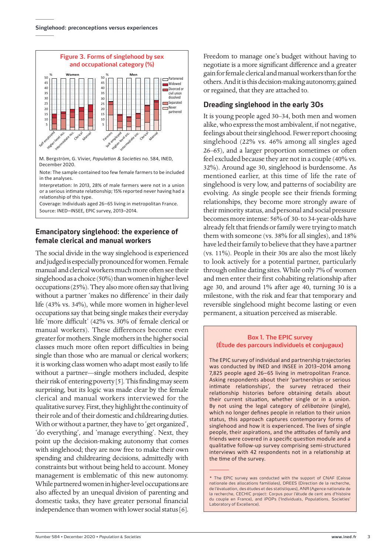

M. Bergström, G. Vivier, *Population & Societies* no. 584, INED, December 2020.

Note: The sample contained too few female farmers to be included in the analyses.

Interpretation: In 2013, 28% of male farmers were not in a union or a serious intimate relationship; 15% reported never having had a relationship of this type.

Coverage: Individuals aged 26–65 living in metropolitan France. Source: INED–INSEE, EPIC survey, 2013–2014.

# **Emancipatory singlehood: the experience of female clerical and manual workers**

The social divide in the way singlehood is experienced and judged is especially pronounced for women. Female manual and clerical workers much more often see their singlehood as a choice (50%) than women in higher-level occupations (25%). They also more often say that living without a partner 'makes no difference' in their daily life (43% vs. 34%), while more women in higher-level occupations say that being single makes their everyday life 'more difficult' (42% vs. 30% of female clerical or manual workers). These differences become even greater for mothers. Single mothers in the higher social classes much more often report difficulties in being single than those who are manual or clerical workers; it is working class women who adapt most easily to life without a partner—single mothers included, despite their risk of entering poverty [5]. This finding may seem surprising, but its logic was made clear by the female clerical and manual workers interviewed for the qualitative survey. First, they highlight the continuity of their role and of their domestic and childrearing duties. With or without a partner, they have to 'get organized', 'do everything', and 'manage everything'. Next, they point up the decision-making autonomy that comes with singlehood; they are now free to make their own spending and childrearing decisions, admittedly with constraints but without being held to account. Money management is emblematic of this new autonomy. While partnered women in higher-level occupations are also affected by an unequal division of parenting and domestic tasks, they have greater personal financial independence than women with lower social status [6].

Freedom to manage one's budget without having to negotiate is a more significant difference and a greater gain for female clerical and manual workers than for the others. And it is this decision-making autonomy, gained or regained, that they are attached to.

# **Dreading singlehood in the early 30s**

It is young people aged 30–34, both men and women alike, who express the most ambivalent, if not negative, feelings about their singlehood. Fewer report choosing singlehood (22% vs. 46% among all singles aged 26–65), and a larger proportion sometimes or often feel excluded because they are not in a couple (40% vs. 32%). Around age 30, singlehood is burdensome. As mentioned earlier, at this time of life the rate of singlehood is very low, and patterns of sociability are evolving. As single people see their friends forming relationships, they become more strongly aware of their minority status, and personal and social pressure becomes more intense: 56% of 30- to 34-year-olds have already felt that friends or family were trying to match them with someone (vs. 38% for all singles), and 18% have led their family to believe that they have a partner (vs. 11%). People in their 30s are also the most likely to look actively for a potential partner, particularly through online dating sites. While only 7% of women and men enter their first cohabiting relationship after age 30, and around 1% after age 40, turning 30 is a milestone, with the risk and fear that temporary and reversible singlehood might become lasting or even permanent, a situation perceived as miserable.

#### **Box 1. The EPIC survey (Étude des parcours individuels et conjugaux)**

The EPIC survey of individual and partnership trajectories was conducted by INED and INSEE in 2013–2014 among 7,825 people aged 26–65 living in metropolitan France. Asking respondents about their 'partnerships or serious intimate relationships', the survey retraced their relationship histories before obtaining details about their current situation, whether single or in a union. By not using the legal category of *célibataire* (single), which no longer defines people in relation to their union status, this approach captures contemporary forms of singlehood and how it is experienced. The lives of single people, their aspirations, and the attitudes of family and friends were covered in a specific question module and a qualitative follow-up survey comprising semi-structured interviews with 42 respondents not in a relationship at the time of the survey.

<sup>\*</sup> The EPIC survey was conducted with the support of CNAF (Caisse nationale des allocations familiales), DREES (Direction de la recherche, de l'évaluation, des études et des statistiques), ANR (Agence nationale de la recherche, CECHIC project: Corpus pour l'étude de cent ans d'histoire du couple en France), and iPOPs ('Individuals, Populations, Societies' Laboratory of Excellence).